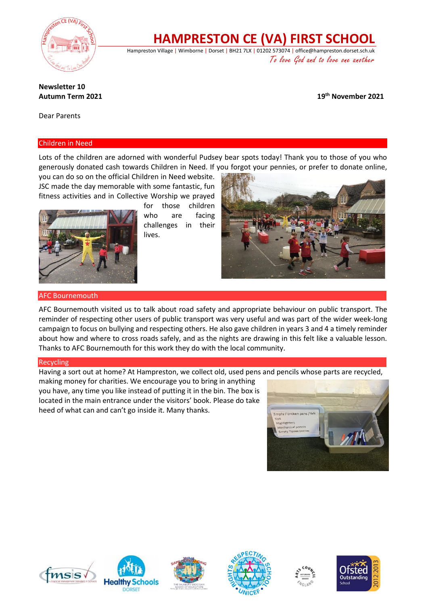

**HAMPRESTON CE (VA) FIRST SCHOOL**

Hampreston Village | Wimborne | Dorset | BH21 7LX | 01202 573074 | office@hampreston.dorset.sch.uk To love God and to love one another

# **Newsletter 10 Autumn Term 2021**

**th November 2021**

Dear Parents

## Children in Need

Lots of the children are adorned with wonderful Pudsey bear spots today! Thank you to those of you who generously donated cash towards Children in Need. If you forgot your pennies, or prefer to donate online,

you can do so on the official Children in Need website. JSC made the day memorable with some fantastic, fun fitness activities and in Collective Worship we prayed



for those children who are facing challenges in their lives.



### AFC Bournemouth

AFC Bournemouth visited us to talk about road safety and appropriate behaviour on public transport. The reminder of respecting other users of public transport was very useful and was part of the wider week-long campaign to focus on bullying and respecting others. He also gave children in years 3 and 4 a timely reminder about how and where to cross roads safely, and as the nights are drawing in this felt like a valuable lesson. Thanks to AFC Bournemouth for this work they do with the local community.

## Recycling

Having a sort out at home? At Hampreston, we collect old, used pens and pencils whose parts are recycled,

making money for charities. We encourage you to bring in anything you have, any time you like instead of putting it in the bin. The box is located in the main entrance under the visitors' book. Please do take heed of what can and can't go inside it. Many thanks.













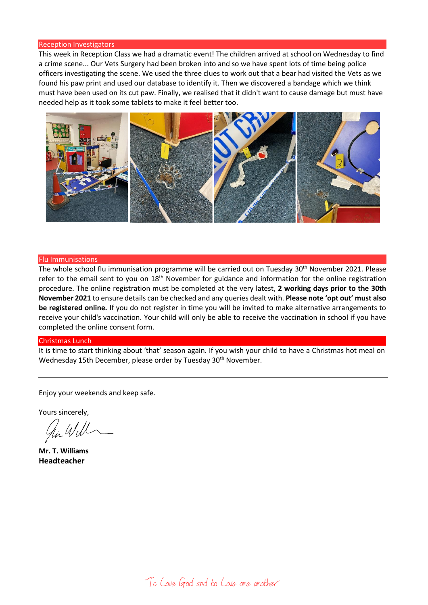#### Reception Investigators

This week in Reception Class we had a dramatic event! The children arrived at school on Wednesday to find a crime scene... Our Vets Surgery had been broken into and so we have spent lots of time being police officers investigating the scene. We used the three clues to work out that a bear had visited the Vets as we found his paw print and used our database to identify it. Then we discovered a bandage which we think must have been used on its cut paw. Finally, we realised that it didn't want to cause damage but must have needed help as it took some tablets to make it feel better too.



#### Flu Immunisations

The whole school flu immunisation programme will be carried out on Tuesday 30<sup>th</sup> November 2021. Please refer to the email sent to you on 18<sup>th</sup> November for guidance and information for the online registration procedure. The online registration must be completed at the very latest, **2 working days prior to the 30th November 2021** to ensure details can be checked and any queries dealt with. **Please note 'opt out' must also be registered online.** If you do not register in time you will be invited to make alternative arrangements to receive your child's vaccination. Your child will only be able to receive the vaccination in school if you have completed the online consent form.

#### Christmas Lunch

It is time to start thinking about 'that' season again. If you wish your child to have a Christmas hot meal on Wednesday 15th December, please order by Tuesday 30<sup>th</sup> November.

Enjoy your weekends and keep safe.

Yours sincerely,

hi Will

**Mr. T. Williams Headteacher**

To Love God and to Love one another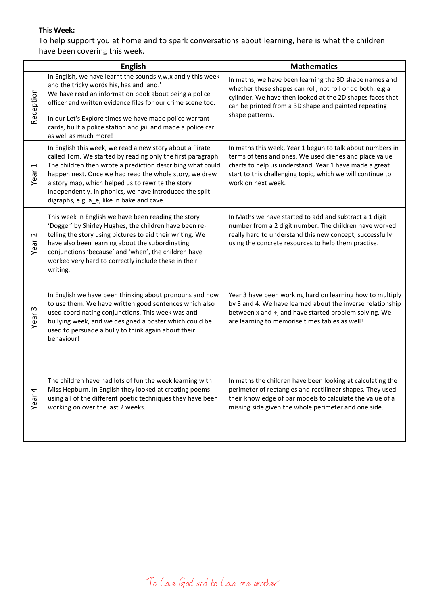# **This Week:**

To help support you at home and to spark conversations about learning, here is what the children have been covering this week.

|                               | <b>English</b>                                                                                                                                                                                                                                                                                                                                                                                                | <b>Mathematics</b>                                                                                                                                                                                                                                                |
|-------------------------------|---------------------------------------------------------------------------------------------------------------------------------------------------------------------------------------------------------------------------------------------------------------------------------------------------------------------------------------------------------------------------------------------------------------|-------------------------------------------------------------------------------------------------------------------------------------------------------------------------------------------------------------------------------------------------------------------|
| Reception                     | In English, we have learnt the sounds v,w,x and y this week<br>and the tricky words his, has and 'and.'<br>We have read an information book about being a police<br>officer and written evidence files for our crime scene too.<br>In our Let's Explore times we have made police warrant<br>cards, built a police station and jail and made a police car<br>as well as much more!                            | In maths, we have been learning the 3D shape names and<br>whether these shapes can roll, not roll or do both: e.g a<br>cylinder. We have then looked at the 2D shapes faces that<br>can be printed from a 3D shape and painted repeating<br>shape patterns.       |
| $\overline{ }$<br>Year        | In English this week, we read a new story about a Pirate<br>called Tom. We started by reading only the first paragraph.<br>The children then wrote a prediction describing what could<br>happen next. Once we had read the whole story, we drew<br>a story map, which helped us to rewrite the story<br>independently. In phonics, we have introduced the split<br>digraphs, e.g. a_e, like in bake and cave. | In maths this week, Year 1 begun to talk about numbers in<br>terms of tens and ones. We used dienes and place value<br>charts to help us understand. Year 1 have made a great<br>start to this challenging topic, which we will continue to<br>work on next week. |
| $\boldsymbol{\sim}$<br>Year   | This week in English we have been reading the story<br>'Dogger' by Shirley Hughes, the children have been re-<br>telling the story using pictures to aid their writing. We<br>have also been learning about the subordinating<br>conjunctions 'because' and 'when', the children have<br>worked very hard to correctly include these in their<br>writing.                                                     | In Maths we have started to add and subtract a 1 digit<br>number from a 2 digit number. The children have worked<br>really hard to understand this new concept, successfully<br>using the concrete resources to help them practise.                               |
| $\boldsymbol{\omega}$<br>Year | In English we have been thinking about pronouns and how<br>to use them. We have written good sentences which also<br>used coordinating conjunctions. This week was anti-<br>bullying week, and we designed a poster which could be<br>used to persuade a bully to think again about their<br>behaviour!                                                                                                       | Year 3 have been working hard on learning how to multiply<br>by 3 and 4. We have learned about the inverse relationship<br>between x and ÷, and have started problem solving. We<br>are learning to memorise times tables as well!                                |
| Year <sub>4</sub>             | The children have had lots of fun the week learning with<br>Miss Hepburn. In English they looked at creating poems<br>using all of the different poetic techniques they have been<br>working on over the last 2 weeks.                                                                                                                                                                                        | In maths the children have been looking at calculating the<br>perimeter of rectangles and rectilinear shapes. They used<br>their knowledge of bar models to calculate the value of a<br>missing side given the whole perimeter and one side.                      |

To Love God and to Love one another